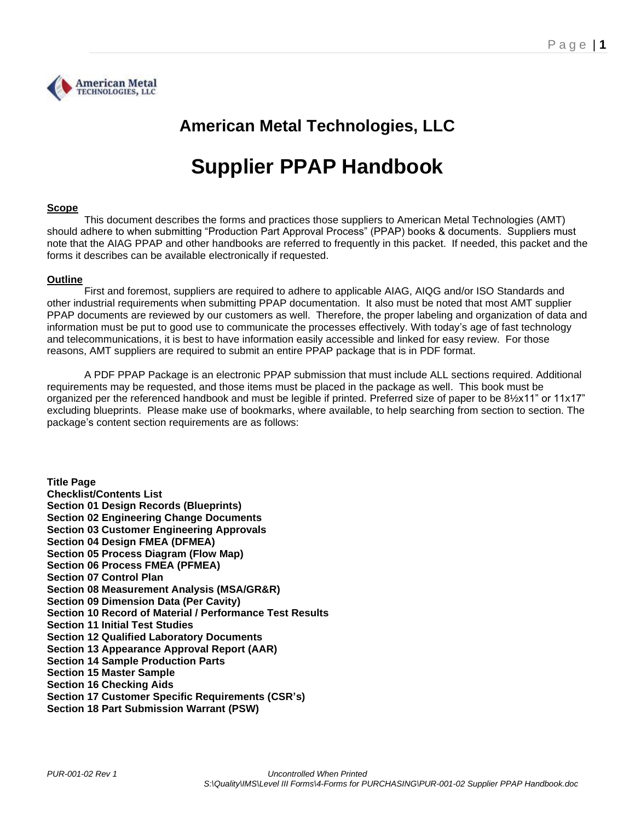

# **American Metal Technologies, LLC**

# **Supplier PPAP Handbook**

# **Scope**

This document describes the forms and practices those suppliers to American Metal Technologies (AMT) should adhere to when submitting "Production Part Approval Process" (PPAP) books & documents. Suppliers must note that the AIAG PPAP and other handbooks are referred to frequently in this packet. If needed, this packet and the forms it describes can be available electronically if requested.

# **Outline**

First and foremost, suppliers are required to adhere to applicable AIAG, AIQG and/or ISO Standards and other industrial requirements when submitting PPAP documentation. It also must be noted that most AMT supplier PPAP documents are reviewed by our customers as well. Therefore, the proper labeling and organization of data and information must be put to good use to communicate the processes effectively. With today's age of fast technology and telecommunications, it is best to have information easily accessible and linked for easy review. For those reasons, AMT suppliers are required to submit an entire PPAP package that is in PDF format.

A PDF PPAP Package is an electronic PPAP submission that must include ALL sections required. Additional requirements may be requested, and those items must be placed in the package as well. This book must be organized per the referenced handbook and must be legible if printed. Preferred size of paper to be 8½x11" or 11x17" excluding blueprints. Please make use of bookmarks, where available, to help searching from section to section. The package's content section requirements are as follows:

**Title Page Checklist/Contents List Section 01 Design Records (Blueprints) Section 02 Engineering Change Documents Section 03 Customer Engineering Approvals Section 04 Design FMEA (DFMEA) Section 05 Process Diagram (Flow Map) Section 06 Process FMEA (PFMEA) Section 07 Control Plan Section 08 Measurement Analysis (MSA/GR&R) Section 09 Dimension Data (Per Cavity) Section 10 Record of Material / Performance Test Results Section 11 Initial Test Studies Section 12 Qualified Laboratory Documents Section 13 Appearance Approval Report (AAR) Section 14 Sample Production Parts Section 15 Master Sample Section 16 Checking Aids Section 17 Customer Specific Requirements (CSR's)**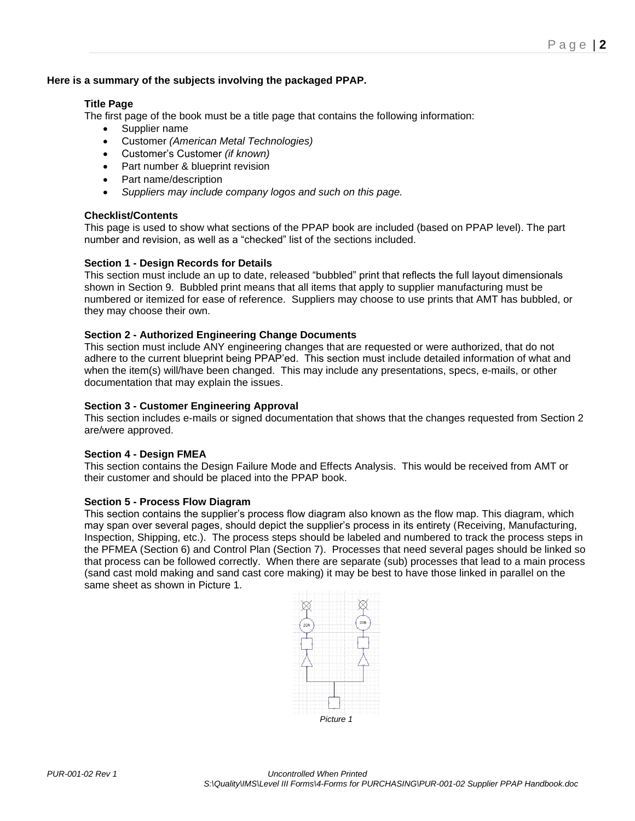# **Here is a summary of the subjects involving the packaged PPAP.**

# **Title Page**

The first page of the book must be a title page that contains the following information:

- Supplier name
- Customer *(American Metal Technologies)*
- Customer's Customer *(if known)*
- Part number & blueprint revision
- Part name/description
- *Suppliers may include company logos and such on this page.*

# **Checklist/Contents**

This page is used to show what sections of the PPAP book are included (based on PPAP level). The part number and revision, as well as a "checked" list of the sections included.

# **Section 1 - Design Records for Details**

This section must include an up to date, released "bubbled" print that reflects the full layout dimensionals shown in Section 9. Bubbled print means that all items that apply to supplier manufacturing must be numbered or itemized for ease of reference. Suppliers may choose to use prints that AMT has bubbled, or they may choose their own.

# **Section 2 - Authorized Engineering Change Documents**

This section must include ANY engineering changes that are requested or were authorized, that do not adhere to the current blueprint being PPAP'ed. This section must include detailed information of what and when the item(s) will/have been changed. This may include any presentations, specs, e-mails, or other documentation that may explain the issues.

# **Section 3 - Customer Engineering Approval**

This section includes e-mails or signed documentation that shows that the changes requested from Section 2 are/were approved.

## **Section 4 - Design FMEA**

This section contains the Design Failure Mode and Effects Analysis. This would be received from AMT or their customer and should be placed into the PPAP book.

## **Section 5 - Process Flow Diagram**

This section contains the supplier's process flow diagram also known as the flow map. This diagram, which may span over several pages, should depict the supplier's process in its entirety (Receiving, Manufacturing, Inspection, Shipping, etc.). The process steps should be labeled and numbered to track the process steps in the PFMEA (Section 6) and Control Plan (Section 7). Processes that need several pages should be linked so that process can be followed correctly. When there are separate (sub) processes that lead to a main process (sand cast mold making and sand cast core making) it may be best to have those linked in parallel on the same sheet as shown in Picture 1.

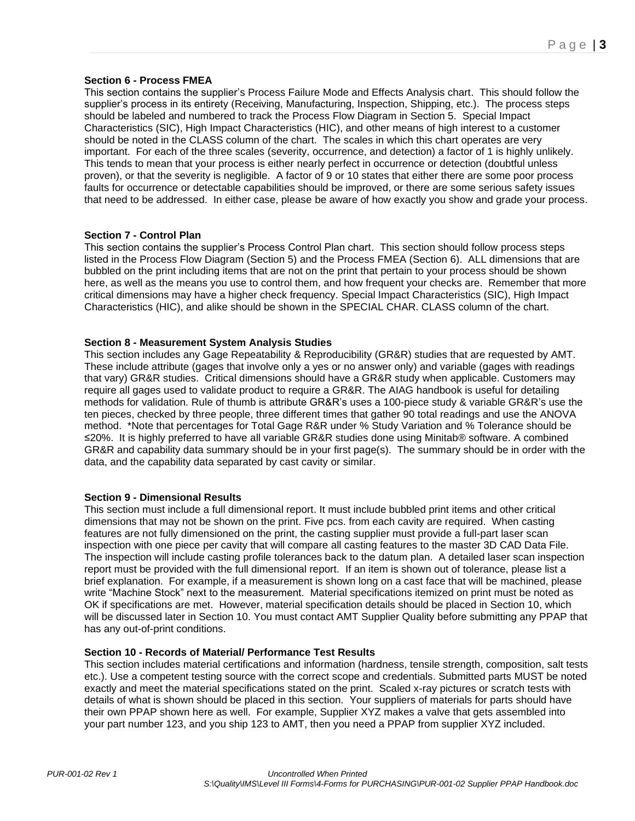# **Section 6 - Process FMEA**

This section contains the supplier's Process Failure Mode and Effects Analysis chart. This should follow the supplier's process in its entirety (Receiving, Manufacturing, Inspection, Shipping, etc.). The process steps should be labeled and numbered to track the Process Flow Diagram in Section 5. Special Impact Characteristics (SIC), High Impact Characteristics (HIC), and other means of high interest to a customer should be noted in the CLASS column of the chart. The scales in which this chart operates are very important. For each of the three scales (severity, occurrence, and detection) a factor of 1 is highly unlikely. This tends to mean that your process is either nearly perfect in occurrence or detection (doubtful unless proven), or that the severity is negligible. A factor of 9 or 10 states that either there are some poor process faults for occurrence or detectable capabilities should be improved, or there are some serious safety issues that need to be addressed. In either case, please be aware of how exactly you show and grade your process.

#### **Section 7 - Control Plan**

This section contains the supplier's Process Control Plan chart. This section should follow process steps listed in the Process Flow Diagram (Section 5) and the Process FMEA (Section 6). ALL dimensions that are bubbled on the print including items that are not on the print that pertain to your process should be shown here, as well as the means you use to control them, and how frequent your checks are. Remember that more critical dimensions may have a higher check frequency. Special Impact Characteristics (SIC), High Impact Characteristics (HIC), and alike should be shown in the SPECIAL CHAR. CLASS column of the chart.

#### **Section 8 - Measurement System Analysis Studies**

This section includes any Gage Repeatability & Reproducibility (GR&R) studies that are requested by AMT. These include attribute (gages that involve only a yes or no answer only) and variable (gages with readings that vary) GR&R studies. Critical dimensions should have a GR&R study when applicable. Customers may require all gages used to validate product to require a GR&R. The AIAG handbook is useful for detailing methods for validation. Rule of thumb is attribute GR&R's uses a 100-piece study & variable GR&R's use the ten pieces, checked by three people, three different times that gather 90 total readings and use the ANOVA method. \*Note that percentages for Total Gage R&R under % Study Variation and % Tolerance should be ≤20%. It is highly preferred to have all variable GR&R studies done using Minitab® software. A combined GR&R and capability data summary should be in your first page(s). The summary should be in order with the data, and the capability data separated by cast cavity or similar.

## **Section 9 - Dimensional Results**

This section must include a full dimensional report. It must include bubbled print items and other critical dimensions that may not be shown on the print. Five pcs. from each cavity are required. When casting features are not fully dimensioned on the print, the casting supplier must provide a full-part laser scan inspection with one piece per cavity that will compare all casting features to the master 3D CAD Data File. The inspection will include casting profile tolerances back to the datum plan. A detailed laser scan inspection report must be provided with the full dimensional report. If an item is shown out of tolerance, please list a brief explanation. For example, if a measurement is shown long on a cast face that will be machined, please write "Machine Stock" next to the measurement. Material specifications itemized on print must be noted as OK if specifications are met. However, material specification details should be placed in Section 10, which will be discussed later in Section 10. You must contact AMT Supplier Quality before submitting any PPAP that has any out-of-print conditions.

## **Section 10 - Records of Material/ Performance Test Results**

This section includes material certifications and information (hardness, tensile strength, composition, salt tests etc.). Use a competent testing source with the correct scope and credentials. Submitted parts MUST be noted exactly and meet the material specifications stated on the print. Scaled x-ray pictures or scratch tests with details of what is shown should be placed in this section. Your suppliers of materials for parts should have their own PPAP shown here as well. For example, Supplier XYZ makes a valve that gets assembled into your part number 123, and you ship 123 to AMT, then you need a PPAP from supplier XYZ included.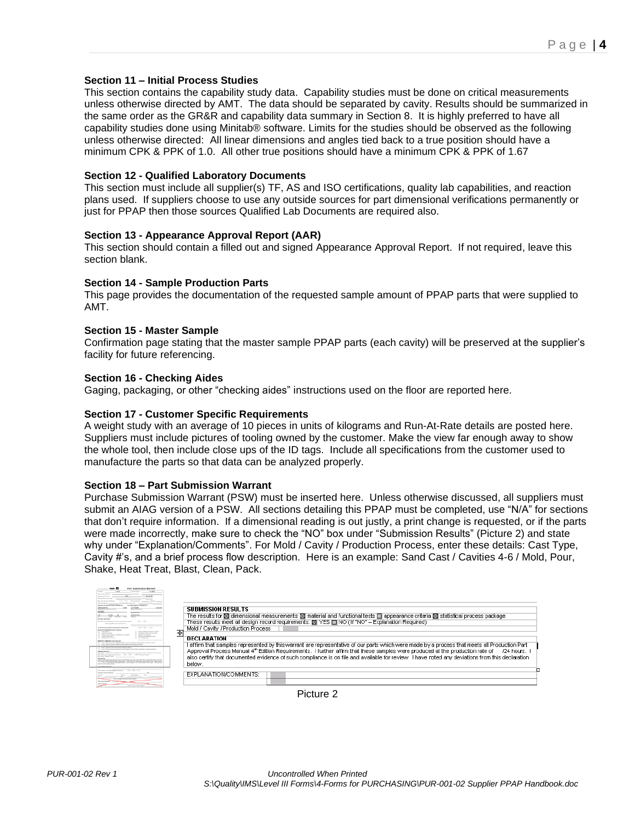# **Section 11 – Initial Process Studies**

This section contains the capability study data. Capability studies must be done on critical measurements unless otherwise directed by AMT. The data should be separated by cavity. Results should be summarized in the same order as the GR&R and capability data summary in Section 8. It is highly preferred to have all capability studies done using Minitab® software. Limits for the studies should be observed as the following unless otherwise directed: All linear dimensions and angles tied back to a true position should have a minimum CPK & PPK of 1.0. All other true positions should have a minimum CPK & PPK of 1.67

#### **Section 12 - Qualified Laboratory Documents**

This section must include all supplier(s) TF, AS and ISO certifications, quality lab capabilities, and reaction plans used. If suppliers choose to use any outside sources for part dimensional verifications permanently or just for PPAP then those sources Qualified Lab Documents are required also.

#### **Section 13 - Appearance Approval Report (AAR)**

This section should contain a filled out and signed Appearance Approval Report. If not required, leave this section blank.

#### **Section 14 - Sample Production Parts**

This page provides the documentation of the requested sample amount of PPAP parts that were supplied to AMT.

#### **Section 15 - Master Sample**

Confirmation page stating that the master sample PPAP parts (each cavity) will be preserved at the supplier's facility for future referencing.

#### **Section 16 - Checking Aides**

Gaging, packaging, or other "checking aides" instructions used on the floor are reported here.

#### **Section 17 - Customer Specific Requirements**

A weight study with an average of 10 pieces in units of kilograms and Run-At-Rate details are posted here. Suppliers must include pictures of tooling owned by the customer. Make the view far enough away to show the whole tool, then include close ups of the ID tags. Include all specifications from the customer used to manufacture the parts so that data can be analyzed properly.

## **Section 18 – Part Submission Warrant**

Purchase Submission Warrant (PSW) must be inserted here. Unless otherwise discussed, all suppliers must submit an AIAG version of a PSW. All sections detailing this PPAP must be completed, use "N/A" for sections that don't require information. If a dimensional reading is out justly, a print change is requested, or if the parts were made incorrectly, make sure to check the "NO" box under "Submission Results" (Picture 2) and state why under "Explanation/Comments". For Mold / Cavity / Production Process, enter these details: Cast Type, Cavity #'s, and a brief process flow description. Here is an example: Sand Cast / Cavities 4-6 / Mold, Pour, Shake, Heat Treat, Blast, Clean, Pack.

| $\bullet$ $\Box$<br>Part Submission Warrant                                                                                                                                                            |                                                                                                                                                                   |
|--------------------------------------------------------------------------------------------------------------------------------------------------------------------------------------------------------|-------------------------------------------------------------------------------------------------------------------------------------------------------------------|
| <b>Cut Facturer 1999 Market 1999</b><br><b>Facilities</b>                                                                                                                                              |                                                                                                                                                                   |
| <b>Barriet State School</b><br>test Richt II.<br><b>England with a factor</b>                                                                                                                          |                                                                                                                                                                   |
| <b><i>International International Partners</i></b>                                                                                                                                                     |                                                                                                                                                                   |
| <b>Manufacturer</b><br><b>December 24 Diego Levil</b><br><b><i><u><u><b>Russian Bullet</b></u></u></i></b>                                                                                             |                                                                                                                                                                   |
| $   -$<br>DELING TON MUSEUM AND HEIGHT TOOLS<br>CAST DIREK SUBMITTA L. AIP DRING TADA                                                                                                                  |                                                                                                                                                                   |
| <b>Call Corp. In Link Street, The</b>                                                                                                                                                                  | SURMISSION RESIILTS                                                                                                                                               |
| <b>TOTALS</b>                                                                                                                                                                                          | The results for $\boxtimes$ dimensional measurements $\boxtimes$ material and functional tests $\Box$ appearance criteria $\boxtimes$ statistical process package |
| as Trace a Middle Fact                                                                                                                                                                                 |                                                                                                                                                                   |
| Cira, Cira<br>for converting to Edmonton Concert devote two research<br><b>NA 100 FL 95% c 174 Adm to 5 FL</b>                                                                                         | These results meet all design record requirements: [8] YES [3] NO (If "NO" - Explanation Required)                                                                |
| De De Do<br>to advertise to the short-th survey in 100 metro reduc-<br><b>NUMBER OF STREET COLLEGE AND</b>                                                                                             | Mold / Cavity / Production Process                                                                                                                                |
| <b><i>STANDARD</i></b><br>There is follow for the first in Terms<br><b>No Russia w Steeld Scott Corp.</b><br><b>Transport Property</b>                                                                 | $\overline{+}$                                                                                                                                                    |
| Sales Tarola Returned Tal-Actions: a stilling<br><b><i><u><i><u><b>Assember Bossels</b></u></i></u></i></b><br><b><i><u>Departure</u></i></b> of Theoremsen<br>Party and cost a technical couple       |                                                                                                                                                                   |
| <b>Testimological Library Common</b><br><b>Car cheese made</b>                                                                                                                                         | <b>DECLARATION</b>                                                                                                                                                |
| <b>ENGINEERING CARD COMPANY</b><br>Lost - Personal with Assemblance land at Assemblance fund at the two area                                                                                           |                                                                                                                                                                   |
| 1447. Extenditure prints a firms wanted for strong wants.                                                                                                                                              | I affirm that samples represented by this warrant are representative of our parts which were made by a process that meets all Production Part                     |
| THE RESIDENCE IN COLUMN 2 IS NOT THE OWNER.<br>Louis Caracteristics and a school and construction to a school and a state for the detection business                                                   |                                                                                                                                                                   |
| <b><i>A PRODUCT STATE AND THE</i></b><br>Newslet 17 Abrova resources 17 Instituted behind the Company time. Classical enterprises                                                                      | Approval Process Manual 4 <sup>n</sup> Edition Requirements. I further affrm that these samples were produced at the production rate of<br>/24 hours.             |
| Secretary American Div Dr. and beneficial<br><b>Rent Grobe Productor Presence</b>                                                                                                                      |                                                                                                                                                                   |
| <b>BALLASTER</b><br>offer the three parties responsible for experimental professional distance and in company for responsibility of                                                                    | also certify that documented evidence of such compliance is on file and available for review. Thave noted any deviations from this declaration                    |
| for her not finance blood on himse descriptions. I have after the man models and contact of the materials are a<br>They I do not the became adopt and senders to a few and endeath as not the contract |                                                                                                                                                                   |
| <b>British Text Pre de Temper India</b><br><b><i>EDITOR TOWARD AT UNK</i></b>                                                                                                                          | below.                                                                                                                                                            |
|                                                                                                                                                                                                        |                                                                                                                                                                   |
| keep because Funlanges mead probabilities of the Clinical China Clinical<br><b>Engineer Advised luxures</b>                                                                                            |                                                                                                                                                                   |
| <b>BASE REL</b>                                                                                                                                                                                        | EXPLANATION/COMMENTS:                                                                                                                                             |
| <b>CONTINUES CONTRACTOR</b>                                                                                                                                                                            |                                                                                                                                                                   |
| <b>That Away Sources</b>                                                                                                                                                                               |                                                                                                                                                                   |
| <b>All Contracts</b><br><b>Support Service Supporters and only</b>                                                                                                                                     |                                                                                                                                                                   |
|                                                                                                                                                                                                        |                                                                                                                                                                   |
|                                                                                                                                                                                                        |                                                                                                                                                                   |

Picture 2